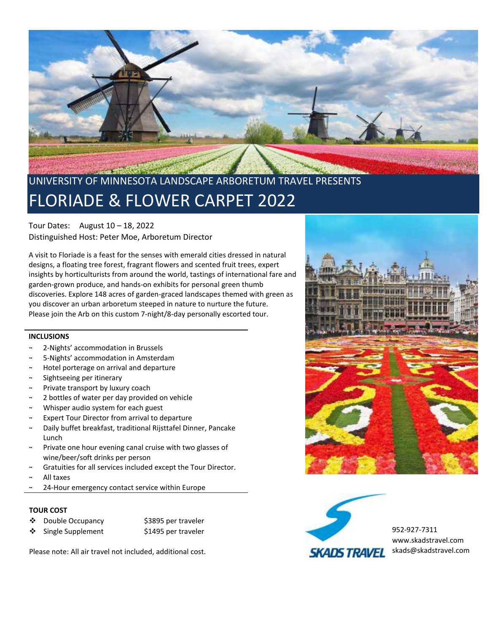

# UNIVERSITY OF MINNESOTA LANDSCAPE ARBORETUM TRAVEL PRESENTS FLORIADE & FLOWER CARPET 2022

Tour Dates: August 10 – 18, 2022 Distinguished Host: Peter Moe, Arboretum Director

A visit to Floriade is a feast for the senses with emerald cities dressed in natural designs, a floating tree forest, fragrant flowers and scented fruit trees, expert insights by horticulturists from around the world, tastings of international fare and garden-grown produce, and hands-on exhibits for personal green thumb discoveries. Explore 148 acres of garden-graced landscapes themed with green as you discover an urban arboretum steeped in nature to nurture the future. Please join the Arb on this custom 7-night/8-day personally escorted tour.

## **INCLUSIONS**

- ~ 2-Nights' accommodation in Brussels
- ~ 5-Nights' accommodation in Amsterdam
- Hotel porterage on arrival and departure
- Sightseeing per itinerary
- Private transport by luxury coach
- 2 bottles of water per day provided on vehicle
- ~ Whisper audio system for each guest
- Expert Tour Director from arrival to departure
- Daily buffet breakfast, traditional Rijsttafel Dinner, Pancake Lunch
- Private one hour evening canal cruise with two glasses of wine/beer/soft drinks per person
- Gratuities for all services included except the Tour Director.
- All taxes
- 24-Hour emergency contact service within Europe

#### **TOUR COST**

- ❖ Double Occupancy \$3895 per traveler
- ❖ Single Supplement \$1495 per traveler

Please note: All air travel not included, additional cost.





952-927-7311 [www.skadstravel.com](http://www.skadstravel.com/) skads@skadstravel.com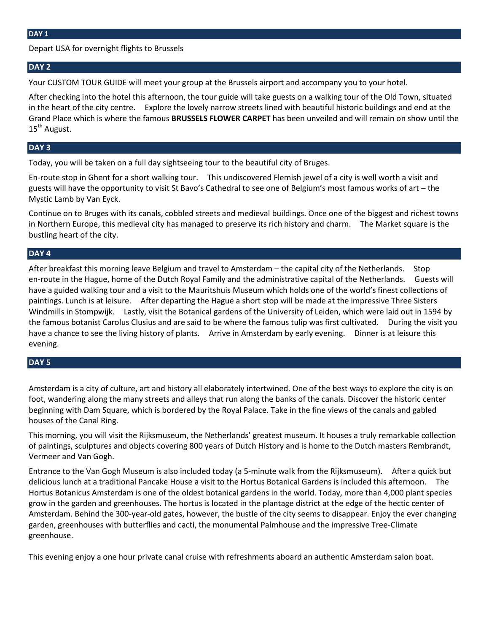Depart USA for overnight flights to Brussels

## **DAY 2**

Your CUSTOM TOUR GUIDE will meet your group at the Brussels airport and accompany you to your hotel.

After checking into the hotel this afternoon, the tour guide will take guests on a walking tour of the Old Town, situated in the heart of the city centre. Explore the lovely narrow streets lined with beautiful historic buildings and end at the Grand Place which is where the famous **BRUSSELS FLOWER CARPET** has been unveiled and will remain on show until the 15<sup>th</sup> August.

## **DAY 3**

Today, you will be taken on a full day sightseeing tour to the beautiful city of Bruges.

En-route stop in Ghent for a short walking tour. This undiscovered Flemish jewel of a city is well worth a visit and guests will have the opportunity to visit St Bavo's Cathedral to see one of Belgium's most famous works of art – the Mystic Lamb by Van Eyck.

Continue on to Bruges with its canals, cobbled streets and medieval buildings. Once one of the biggest and richest towns in Northern Europe, this medieval city has managed to preserve its rich history and charm. The Market square is the bustling heart of the city.

## **DAY 4**

After breakfast this morning leave Belgium and travel to Amsterdam – the capital city of the Netherlands. Stop en-route in the Hague, home of the Dutch Royal Family and the administrative capital of the Netherlands. Guests will have a guided walking tour and a visit to the Mauritshuis Museum which holds one of the world's finest collections of paintings. Lunch is at leisure. After departing the Hague a short stop will be made at the impressive Three Sisters Windmills in Stompwijk. Lastly, visit the Botanical gardens of the University of Leiden, which were laid out in 1594 by the famous botanist Carolus Clusius and are said to be where the famous tulip was first cultivated. During the visit you have a chance to see the living history of plants. Arrive in Amsterdam by early evening. Dinner is at leisure this evening.

## **DAY 5**

Amsterdam is a city of culture, art and history all elaborately intertwined. One of the best ways to explore the city is on foot, wandering along the many streets and alleys that run along the banks of the canals. Discover the historic center beginning with Dam Square, which is bordered by the Royal Palace. Take in the fine views of the canals and gabled houses of the Canal Ring.

This morning, you will visit the Rijksmuseum, the Netherlands' greatest museum. It houses a truly remarkable collection of paintings, sculptures and objects covering 800 years of Dutch History and is home to the Dutch masters Rembrandt, Vermeer and Van Gogh.

Entrance to the Van Gogh Museum is also included today (a 5-minute walk from the Rijksmuseum). After a quick but delicious lunch at a traditional Pancake House a visit to the Hortus Botanical Gardens is included this afternoon. The Hortus Botanicus Amsterdam is one of the oldest botanical gardens in the world. Today, more than 4,000 plant species grow in the garden and greenhouses. The hortus is located in the plantage district at the edge of the hectic center of Amsterdam. Behind the 300-year-old gates, however, the bustle of the city seems to disappear. Enjoy the ever changing garden, greenhouses with butterflies and cacti, the monumental Palmhouse and the impressive Tree-Climate greenhouse.

This evening enjoy a one hour private canal cruise with refreshments aboard an authentic Amsterdam salon boat.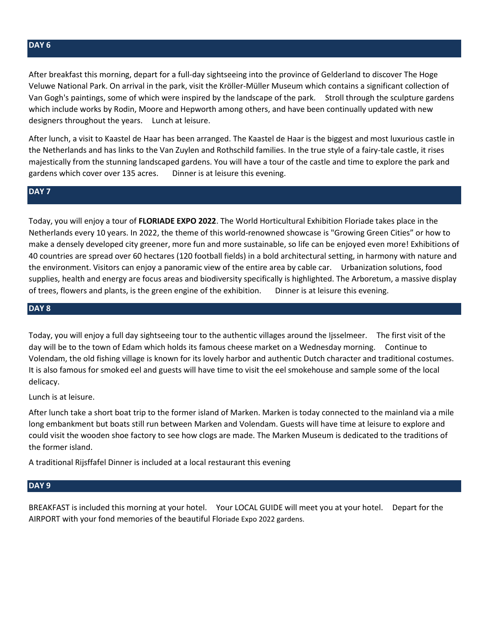After breakfast this morning, depart for a full-day sightseeing into the province of Gelderland to discover The Hoge Veluwe National Park. On arrival in the park, visit the Kröller-Müller Museum which contains a significant collection of Van Gogh's paintings, some of which were inspired by the landscape of the park. Stroll through the sculpture gardens which include works by Rodin, Moore and Hepworth among others, and have been continually updated with new designers throughout the years. Lunch at leisure.

After lunch, a visit to Kaastel de Haar has been arranged. The Kaastel de Haar is the biggest and most luxurious castle in the Netherlands and has links to the Van Zuylen and Rothschild families. In the true style of a fairy-tale castle, it rises majestically from the stunning landscaped gardens. You will have a tour of the castle and time to explore the park and gardens which cover over 135 acres. Dinner is at leisure this evening.

## **DAY 7**

Today, you will enjoy a tour of **FLORIADE EXPO 2022**. The World Horticultural Exhibition Floriade takes place in the Netherlands every 10 years. In 2022, the theme of this world-renowned showcase is "Growing Green Cities" or how to make a densely developed city greener, more fun and more sustainable, so life can be enjoyed even more! Exhibitions of 40 countries are spread over 60 hectares (120 football fields) in a bold architectural setting, in harmony with nature and the environment. Visitors can enjoy a panoramic view of the entire area by cable car. Urbanization solutions, food supplies, health and energy are focus areas and biodiversity specifically is highlighted. The Arboretum, a massive display of trees, flowers and plants, is the green engine of the exhibition. Dinner is at leisure this evening.

## **DAY 8**

Today, you will enjoy a full day sightseeing tour to the authentic villages around the Ijsselmeer. The first visit of the day will be to the town of Edam which holds its famous cheese market on a Wednesday morning. Continue to Volendam, the old fishing village is known for its lovely harbor and authentic Dutch character and traditional costumes. It is also famous for smoked eel and guests will have time to visit the eel smokehouse and sample some of the local delicacy.

Lunch is at leisure.

After lunch take a short boat trip to the former island of Marken. Marken is today connected to the mainland via a mile long embankment but boats still run between Marken and Volendam. Guests will have time at leisure to explore and could visit the wooden shoe factory to see how clogs are made. The Marken Museum is dedicated to the traditions of the former island.

A traditional Rijsffafel Dinner is included at a local restaurant this evening

#### **DAY 9**

BREAKFAST is included this morning at your hotel. Your LOCAL GUIDE will meet you at your hotel. Depart for the AIRPORT with your fond memories of the beautiful Floriade Expo 2022 gardens.